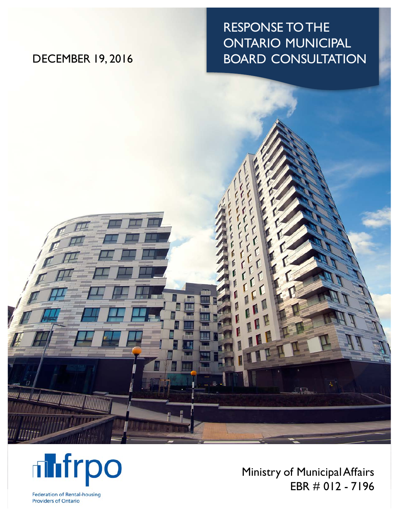# RESPONSE TO THE ONTARIO MUNICIPAL DECEMBER 19, 2016 BOARD CONSULTATION





Ministry of Municipal Affairs EBR # 012 - 7196

Federation of Rental-housing **Providers of Ontario**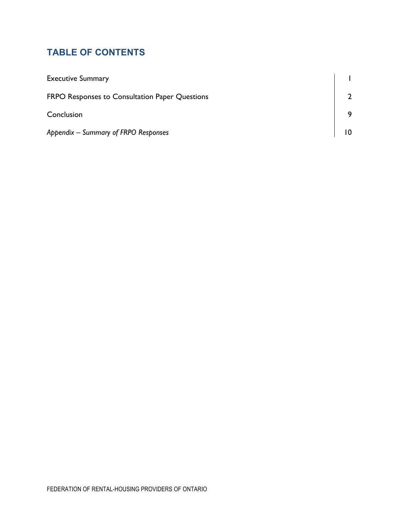# **TABLE OF CONTENTS**

| <b>Executive Summary</b>                              |  |
|-------------------------------------------------------|--|
| <b>FRPO Responses to Consultation Paper Questions</b> |  |
| Conclusion                                            |  |
| Appendix - Summary of FRPO Responses                  |  |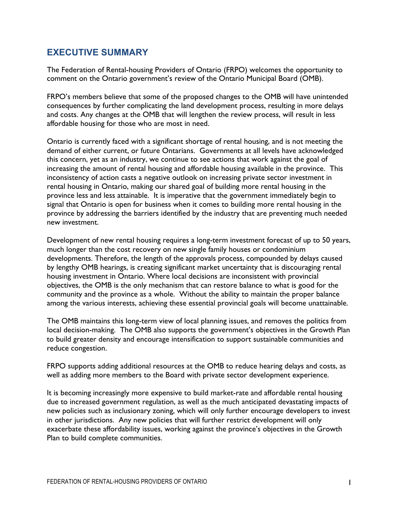# **EXECUTIVE SUMMARY**

The Federation of Rental-housing Providers of Ontario (FRPO) welcomes the opportunity to comment on the Ontario government's review of the Ontario Municipal Board (OMB).

FRPO's members believe that some of the proposed changes to the OMB will have unintended consequences by further complicating the land development process, resulting in more delays and costs. Any changes at the OMB that will lengthen the review process, will result in less affordable housing for those who are most in need.

Ontario is currently faced with a significant shortage of rental housing, and is not meeting the demand of either current, or future Ontarians. Governments at all levels have acknowledged this concern, yet as an industry, we continue to see actions that work against the goal of increasing the amount of rental housing and affordable housing available in the province. This inconsistency of action casts a negative outlook on increasing private sector investment in rental housing in Ontario, making our shared goal of building more rental housing in the province less and less attainable. It is imperative that the government immediately begin to signal that Ontario is open for business when it comes to building more rental housing in the province by addressing the barriers identified by the industry that are preventing much needed new investment.

Development of new rental housing requires a long-term investment forecast of up to 50 years, much longer than the cost recovery on new single family houses or condominium developments. Therefore, the length of the approvals process, compounded by delays caused by lengthy OMB hearings, is creating significant market uncertainty that is discouraging rental housing investment in Ontario. Where local decisions are inconsistent with provincial objectives, the OMB is the only mechanism that can restore balance to what is good for the community and the province as a whole. Without the ability to maintain the proper balance among the various interests, achieving these essential provincial goals will become unattainable.

The OMB maintains this long-term view of local planning issues, and removes the politics from local decision-making. The OMB also supports the government's objectives in the Growth Plan to build greater density and encourage intensification to support sustainable communities and reduce congestion.

FRPO supports adding additional resources at the OMB to reduce hearing delays and costs, as well as adding more members to the Board with private sector development experience.

It is becoming increasingly more expensive to build market-rate and affordable rental housing due to increased government regulation, as well as the much anticipated devastating impacts of new policies such as inclusionary zoning, which will only further encourage developers to invest in other jurisdictions. Any new policies that will further restrict development will only exacerbate these affordability issues, working against the province's objectives in the Growth Plan to build complete communities.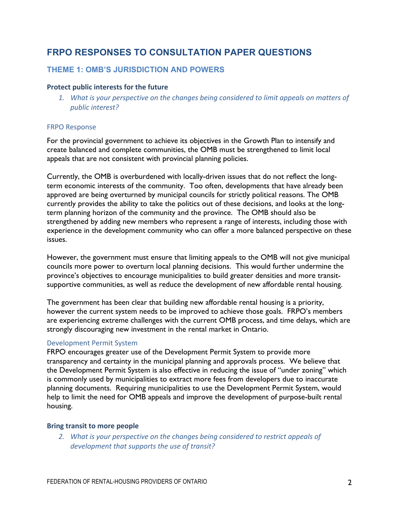# **FRPO RESPONSES TO CONSULTATION PAPER QUESTIONS**

## **THEME 1: OMB'S JURISDICTION AND POWERS**

#### **Protect public interests for the future**

1. What is your perspective on the changes being considered to limit appeals on matters of *public interest?*

#### **FRPO Response**

For the provincial government to achieve its objectives in the Growth Plan to intensify and create balanced and complete communities, the OMB must be strengthened to limit local appeals that are not consistent with provincial planning policies.

Currently, the OMB is overburdened with locally-driven issues that do not reflect the longterm economic interests of the community. Too often, developments that have already been approved are being overturned by municipal councils for strictly political reasons. The OMB currently provides the ability to take the politics out of these decisions, and looks at the longterm planning horizon of the community and the province. The OMB should also be strengthened by adding new members who represent a range of interests, including those with experience in the development community who can offer a more balanced perspective on these issues.

However, the government must ensure that limiting appeals to the OMB will not give municipal councils more power to overturn local planning decisions. This would further undermine the province's objectives to encourage municipalities to build greater densities and more transitsupportive communities, as well as reduce the development of new affordable rental housing.

The government has been clear that building new affordable rental housing is a priority, however the current system needs to be improved to achieve those goals. FRPO's members are experiencing extreme challenges with the current OMB process, and time delays, which are strongly discouraging new investment in the rental market in Ontario.

#### Development Permit System

FRPO encourages greater use of the Development Permit System to provide more transparency and certainty in the municipal planning and approvals process. We believe that the Development Permit System is also effective in reducing the issue of "under zoning" which is commonly used by municipalities to extract more fees from developers due to inaccurate planning documents. Requiring municipalities to use the Development Permit System, would help to limit the need for OMB appeals and improve the development of purpose-built rental housing.

#### **Bring transit to more people**

2. What is your perspective on the changes being considered to restrict appeals of development that supports the use of transit?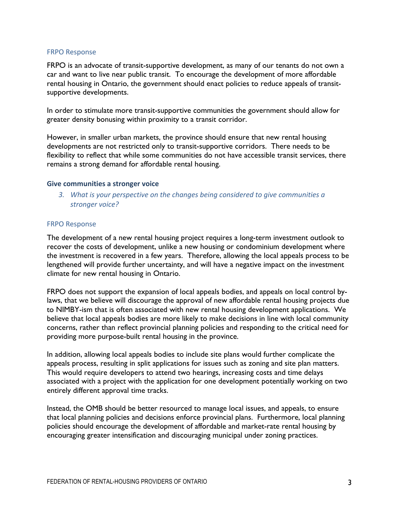#### **FRPO Response**

FRPO is an advocate of transit-supportive development, as many of our tenants do not own a car and want to live near public transit. To encourage the development of more affordable rental housing in Ontario, the government should enact policies to reduce appeals of transitsupportive developments.

In order to stimulate more transit-supportive communities the government should allow for greater density bonusing within proximity to a transit corridor.

However, in smaller urban markets, the province should ensure that new rental housing developments are not restricted only to transit-supportive corridors. There needs to be flexibility to reflect that while some communities do not have accessible transit services, there remains a strong demand for affordable rental housing.

#### **Give communities a stronger voice**

3. What is your perspective on the changes being considered to give communities a *stronger voice?*

#### **FRPO Response**

The development of a new rental housing project requires a long-term investment outlook to recover the costs of development, unlike a new housing or condominium development where the investment is recovered in a few years. Therefore, allowing the local appeals process to be lengthened will provide further uncertainty, and will have a negative impact on the investment climate for new rental housing in Ontario.

FRPO does not support the expansion of local appeals bodies, and appeals on local control bylaws, that we believe will discourage the approval of new affordable rental housing projects due to NIMBY-ism that is often associated with new rental housing development applications. We believe that local appeals bodies are more likely to make decisions in line with local community concerns, rather than reflect provincial planning policies and responding to the critical need for providing more purpose-built rental housing in the province.

In addition, allowing local appeals bodies to include site plans would further complicate the appeals process, resulting in split applications for issues such as zoning and site plan matters. This would require developers to attend two hearings, increasing costs and time delays associated with a project with the application for one development potentially working on two entirely different approval time tracks.

Instead, the OMB should be better resourced to manage local issues, and appeals, to ensure that local planning policies and decisions enforce provincial plans. Furthermore, local planning policies should encourage the development of affordable and market-rate rental housing by encouraging greater intensification and discouraging municipal under zoning practices.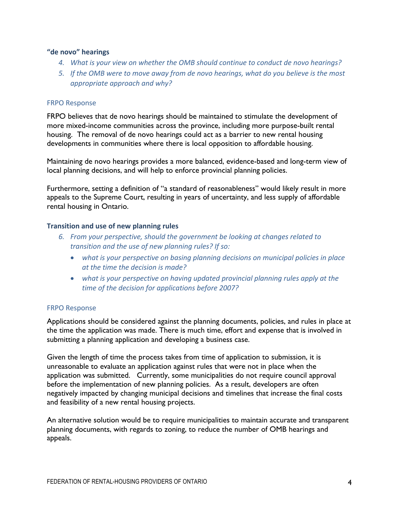#### **"de novo" hearings**

- 4. What is your view on whether the OMB should continue to conduct de novo hearings?
- *5.* If the OMB were to move away from de novo hearings, what do you believe is the most appropriate approach and why?

#### FRPO Response

FRPO believes that de novo hearings should be maintained to stimulate the development of more mixed-income communities across the province, including more purpose-built rental housing. The removal of de novo hearings could act as a barrier to new rental housing developments in communities where there is local opposition to affordable housing.

Maintaining de novo hearings provides a more balanced, evidence-based and long-term view of local planning decisions, and will help to enforce provincial planning policies.

Furthermore, setting a definition of "a standard of reasonableness" would likely result in more appeals to the Supreme Court, resulting in years of uncertainty, and less supply of affordable rental housing in Ontario.

#### **Transition and use of new planning rules**

- *6. From your perspective, should the government be looking at changes related to* transition and the use of new planning rules? If so:
	- *what is your perspective on basing planning decisions on municipal policies in place at the time the decision is made?*
	- *what is your perspective on having updated provincial planning rules apply at the* time of the decision for applications before 2007?

#### **FRPO Response**

Applications should be considered against the planning documents, policies, and rules in place at the time the application was made. There is much time, effort and expense that is involved in submitting a planning application and developing a business case.

Given the length of time the process takes from time of application to submission, it is unreasonable to evaluate an application against rules that were not in place when the application was submitted. Currently, some municipalities do not require council approval before the implementation of new planning policies. As a result, developers are often negatively impacted by changing municipal decisions and timelines that increase the final costs and feasibility of a new rental housing projects.

An alternative solution would be to require municipalities to maintain accurate and transparent planning documents, with regards to zoning, to reduce the number of OMB hearings and appeals.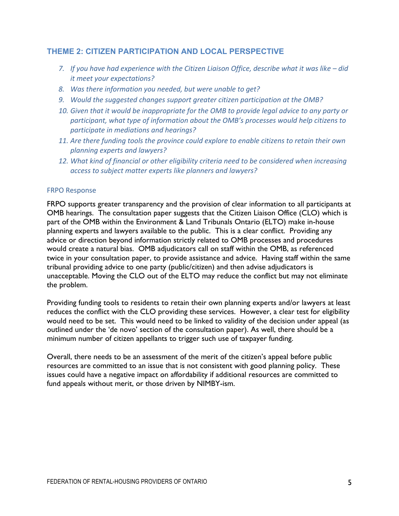### **THEME 2: CITIZEN PARTICIPATION AND LOCAL PERSPECTIVE**

- 7. If you have had experience with the Citizen Liaison Office, describe what it was like did *it* meet your expectations?
- 8. Was there information you needed, but were unable to get?
- 9. Would the suggested changes support greater citizen participation at the OMB?
- 10. Given that it would be inappropriate for the OMB to provide legal advice to any party or participant, what type of information about the OMB's processes would help citizens to *participate in mediations and hearings?*
- 11. Are there funding tools the province could explore to enable citizens to retain their own *planning experts and lawyers?*
- 12. What kind of financial or other eligibility criteria need to be considered when increasing access to subject matter experts like planners and lawyers?

#### **FRPO Response**

FRPO supports greater transparency and the provision of clear information to all participants at OMB hearings. The consultation paper suggests that the Citizen Liaison Office (CLO) which is part of the OMB within the Environment & Land Tribunals Ontario (ELTO) make in-house planning experts and lawyers available to the public. This is a clear conflict. Providing any advice or direction beyond information strictly related to OMB processes and procedures would create a natural bias. OMB adjudicators call on staff within the OMB, as referenced twice in your consultation paper, to provide assistance and advice. Having staff within the same tribunal providing advice to one party (public/citizen) and then advise adjudicators is unacceptable. Moving the CLO out of the ELTO may reduce the conflict but may not eliminate the problem.

Providing funding tools to residents to retain their own planning experts and/or lawyers at least reduces the conflict with the CLO providing these services. However, a clear test for eligibility would need to be set. This would need to be linked to validity of the decision under appeal (as outlined under the 'de novo' section of the consultation paper). As well, there should be a minimum number of citizen appellants to trigger such use of taxpayer funding.

Overall, there needs to be an assessment of the merit of the citizen's appeal before public resources are committed to an issue that is not consistent with good planning policy. These issues could have a negative impact on affordability if additional resources are committed to fund appeals without merit, or those driven by NIMBY-ism.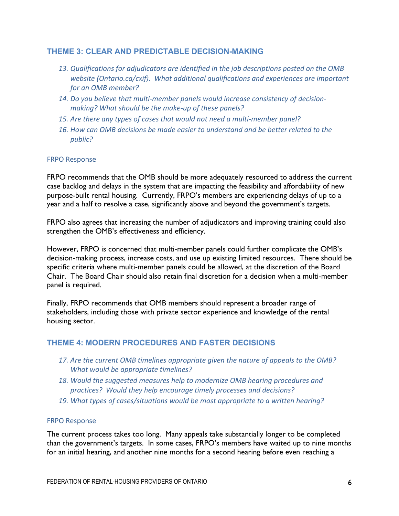#### **THEME 3: CLEAR AND PREDICTABLE DECISION-MAKING**

- 13. Qualifications for adjudicators are identified in the job descriptions posted on the OMB *website* (Ontario.ca/cxif). What additional qualifications and experiences are important for an OMB member?
- 14. Do you believe that multi-member panels would increase consistency of decisionmaking? What should be the make-up of these panels?
- 15. Are there any types of cases that would not need a multi-member panel?
- 16. How can OMB decisions be made easier to understand and be better related to the *public?*

#### **FRPO Response**

FRPO recommends that the OMB should be more adequately resourced to address the current case backlog and delays in the system that are impacting the feasibility and affordability of new purpose-built rental housing. Currently, FRPO's members are experiencing delays of up to a year and a half to resolve a case, significantly above and beyond the government's targets.

FRPO also agrees that increasing the number of adjudicators and improving training could also strengthen the OMB's effectiveness and efficiency.

However, FRPO is concerned that multi-member panels could further complicate the OMB's decision-making process, increase costs, and use up existing limited resources. There should be specific criteria where multi-member panels could be allowed, at the discretion of the Board Chair. The Board Chair should also retain final discretion for a decision when a multi-member panel is required.

Finally, FRPO recommends that OMB members should represent a broader range of stakeholders, including those with private sector experience and knowledge of the rental housing sector.

### **THEME 4: MODERN PROCEDURES AND FASTER DECISIONS**

- 17. Are the current OMB timelines appropriate given the nature of appeals to the OMB? *What* would be appropriate timelines?
- 18. Would the suggested measures help to modernize OMB hearing procedures and *practices? Would they help encourage timely processes and decisions?*
- 19. What types of cases/situations would be most appropriate to a written hearing?

#### **FRPO Response**

The current process takes too long. Many appeals take substantially longer to be completed than the government's targets. In some cases, FRPO's members have waited up to nine months for an initial hearing, and another nine months for a second hearing before even reaching a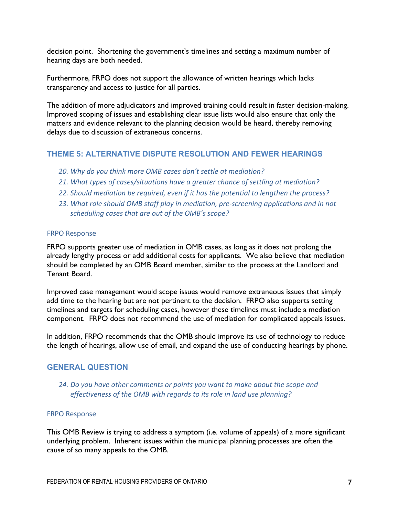decision point. Shortening the government's timelines and setting a maximum number of hearing days are both needed.

Furthermore, FRPO does not support the allowance of written hearings which lacks transparency and access to justice for all parties.

The addition of more adjudicators and improved training could result in faster decision-making. Improved scoping of issues and establishing clear issue lists would also ensure that only the matters and evidence relevant to the planning decision would be heard, thereby removing delays due to discussion of extraneous concerns.

#### **THEME 5: ALTERNATIVE DISPUTE RESOLUTION AND FEWER HEARINGS**

- 20. Why do you think more OMB cases don't settle at mediation?
- 21. What types of cases/situations have a greater chance of settling at mediation?
- 22. Should mediation be required, even if it has the potential to lengthen the process?
- 23. What role should OMB staff play in mediation, pre-screening applications and in not scheduling cases that are out of the OMB's scope?

#### **FRPO Response**

FRPO supports greater use of mediation in OMB cases, as long as it does not prolong the already lengthy process or add additional costs for applicants. We also believe that mediation should be completed by an OMB Board member, similar to the process at the Landlord and Tenant Board.

Improved case management would scope issues would remove extraneous issues that simply add time to the hearing but are not pertinent to the decision. FRPO also supports setting timelines and targets for scheduling cases, however these timelines must include a mediation component. FRPO does not recommend the use of mediation for complicated appeals issues.

In addition, FRPO recommends that the OMB should improve its use of technology to reduce the length of hearings, allow use of email, and expand the use of conducting hearings by phone.

#### **GENERAL QUESTION**

#### 24. Do you have other comments or points you want to make about the scope and effectiveness of the OMB with regards to its role in land use planning?

#### **FRPO Response**

This OMB Review is trying to address a symptom (i.e. volume of appeals) of a more significant underlying problem. Inherent issues within the municipal planning processes are often the cause of so many appeals to the OMB.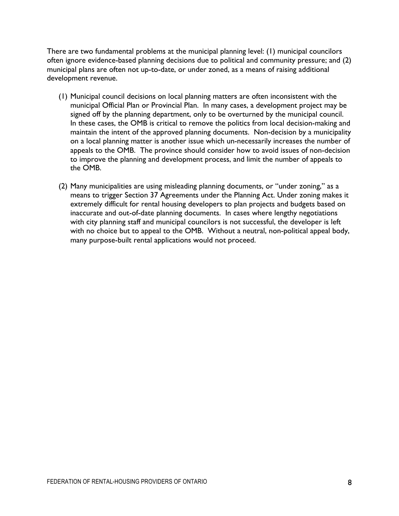There are two fundamental problems at the municipal planning level: (1) municipal councilors often ignore evidence-based planning decisions due to political and community pressure; and (2) municipal plans are often not up-to-date, or under zoned, as a means of raising additional development revenue.

- (1) Municipal council decisions on local planning matters are often inconsistent with the municipal Official Plan or Provincial Plan. In many cases, a development project may be signed off by the planning department, only to be overturned by the municipal council. In these cases, the OMB is critical to remove the politics from local decision-making and maintain the intent of the approved planning documents. Non-decision by a municipality on a local planning matter is another issue which un-necessarily increases the number of appeals to the OMB. The province should consider how to avoid issues of non-decision to improve the planning and development process, and limit the number of appeals to the OMB.
- (2) Many municipalities are using misleading planning documents, or "under zoning," as a means to trigger Section 37 Agreements under the Planning Act. Under zoning makes it extremely difficult for rental housing developers to plan projects and budgets based on inaccurate and out-of-date planning documents. In cases where lengthy negotiations with city planning staff and municipal councilors is not successful, the developer is left with no choice but to appeal to the OMB. Without a neutral, non-political appeal body, many purpose-built rental applications would not proceed.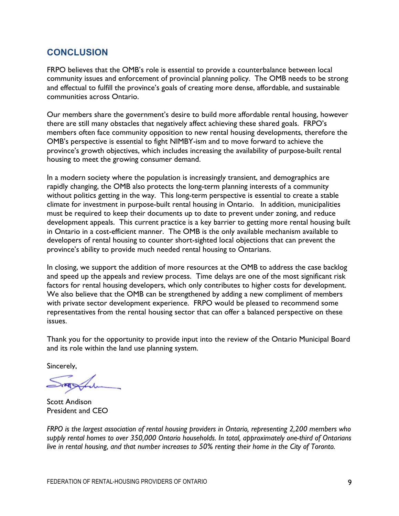# **CONCLUSION**

FRPO believes that the OMB's role is essential to provide a counterbalance between local community issues and enforcement of provincial planning policy. The OMB needs to be strong and effectual to fulfill the province's goals of creating more dense, affordable, and sustainable communities across Ontario.

Our members share the government's desire to build more affordable rental housing, however there are still many obstacles that negatively affect achieving these shared goals. FRPO's members often face community opposition to new rental housing developments, therefore the OMB's perspective is essential to fight NIMBY-ism and to move forward to achieve the province's growth objectives, which includes increasing the availability of purpose-built rental housing to meet the growing consumer demand.

In a modern society where the population is increasingly transient, and demographics are rapidly changing, the OMB also protects the long-term planning interests of a community without politics getting in the way. This long-term perspective is essential to create a stable climate for investment in purpose-built rental housing in Ontario. In addition, municipalities must be required to keep their documents up to date to prevent under zoning, and reduce development appeals. This current practice is a key barrier to getting more rental housing built in Ontario in a cost-efficient manner. The OMB is the only available mechanism available to developers of rental housing to counter short-sighted local objections that can prevent the province's ability to provide much needed rental housing to Ontarians.

In closing, we support the addition of more resources at the OMB to address the case backlog and speed up the appeals and review process. Time delays are one of the most significant risk factors for rental housing developers, which only contributes to higher costs for development. We also believe that the OMB can be strengthened by adding a new compliment of members with private sector development experience. FRPO would be pleased to recommend some representatives from the rental housing sector that can offer a balanced perspective on these issues.

Thank you for the opportunity to provide input into the review of the Ontario Municipal Board and its role within the land use planning system.

Sincerely,

Scott Andison President and CEO

*FRPO is the largest association of rental housing providers in Ontario, representing 2,200 members who supply rental homes to over 350,000 Ontario households. In total, approximately one-third of Ontarians live in rental housing, and that number increases to 50% renting their home in the City of Toronto.*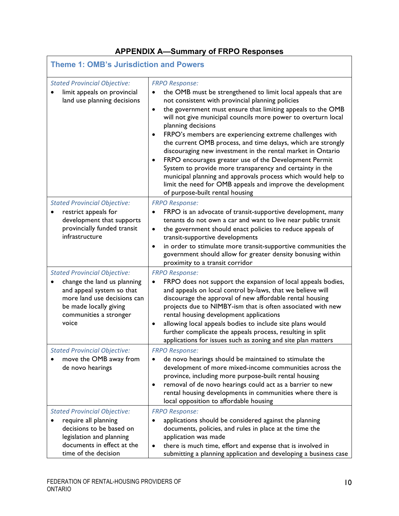# **APPENDIX A—Summary of FRPO Responses**

| <b>Theme 1: OMB's Jurisdiction and Powers</b>                                                                                                                                               |                                                                                                                                                                                                                                                                                                                                                                                                                                                                                                                                                                                                                                                                                                                                                                                                                             |  |
|---------------------------------------------------------------------------------------------------------------------------------------------------------------------------------------------|-----------------------------------------------------------------------------------------------------------------------------------------------------------------------------------------------------------------------------------------------------------------------------------------------------------------------------------------------------------------------------------------------------------------------------------------------------------------------------------------------------------------------------------------------------------------------------------------------------------------------------------------------------------------------------------------------------------------------------------------------------------------------------------------------------------------------------|--|
| <b>Stated Provincial Objective:</b><br>limit appeals on provincial<br>land use planning decisions                                                                                           | <b>FRPO Response:</b><br>the OMB must be strengthened to limit local appeals that are<br>٠<br>not consistent with provincial planning policies<br>the government must ensure that limiting appeals to the OMB<br>$\bullet$<br>will not give municipal councils more power to overturn local<br>planning decisions<br>FRPO's members are experiencing extreme challenges with<br>$\bullet$<br>the current OMB process, and time delays, which are strongly<br>discouraging new investment in the rental market in Ontario<br>FRPO encourages greater use of the Development Permit<br>$\bullet$<br>System to provide more transparency and certainty in the<br>municipal planning and approvals process which would help to<br>limit the need for OMB appeals and improve the development<br>of purpose-built rental housing |  |
| <b>Stated Provincial Objective:</b><br>restrict appeals for<br>development that supports<br>provincially funded transit<br>infrastructure                                                   | <b>FRPO Response:</b><br>FRPO is an advocate of transit-supportive development, many<br>$\bullet$<br>tenants do not own a car and want to live near public transit<br>the government should enact policies to reduce appeals of<br>$\bullet$<br>transit-supportive developments<br>in order to stimulate more transit-supportive communities the<br>$\bullet$<br>government should allow for greater density bonusing within<br>proximity to a transit corridor                                                                                                                                                                                                                                                                                                                                                             |  |
| <b>Stated Provincial Objective:</b><br>change the land us planning<br>and appeal system so that<br>more land use decisions can<br>be made locally giving<br>communities a stronger<br>voice | <b>FRPO Response:</b><br>FRPO does not support the expansion of local appeals bodies,<br>$\bullet$<br>and appeals on local control by-laws, that we believe will<br>discourage the approval of new affordable rental housing<br>projects due to NIMBY-ism that is often associated with new<br>rental housing development applications<br>allowing local appeals bodies to include site plans would<br>$\bullet$<br>further complicate the appeals process, resulting in split<br>applications for issues such as zoning and site plan matters                                                                                                                                                                                                                                                                              |  |
| <b>Stated Provincial Objective:</b><br>move the OMB away from<br>$\bullet$<br>de novo hearings                                                                                              | <b>FRPO Response:</b><br>de novo hearings should be maintained to stimulate the<br>development of more mixed-income communities across the<br>province, including more purpose-built rental housing<br>removal of de novo hearings could act as a barrier to new<br>٠<br>rental housing developments in communities where there is<br>local opposition to affordable housing                                                                                                                                                                                                                                                                                                                                                                                                                                                |  |
| <b>Stated Provincial Objective:</b><br>require all planning<br>$\bullet$<br>decisions to be based on<br>legislation and planning<br>documents in effect at the<br>time of the decision      | <b>FRPO Response:</b><br>applications should be considered against the planning<br>٠<br>documents, policies, and rules in place at the time the<br>application was made<br>there is much time, effort and expense that is involved in<br>٠<br>submitting a planning application and developing a business case                                                                                                                                                                                                                                                                                                                                                                                                                                                                                                              |  |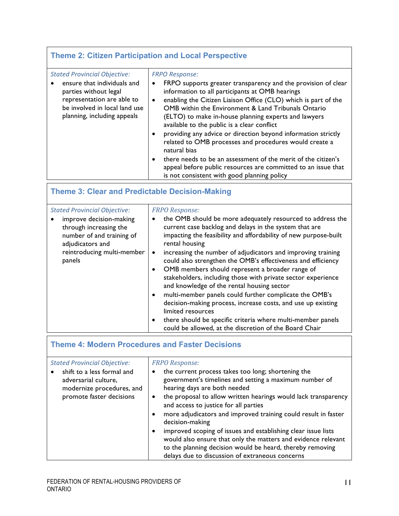# **Theme 2: Citizen Participation and Local Perspective**

| <b>Stated Provincial Objective:</b><br>ensure that individuals and<br>parties without legal<br>representation are able to<br>be involved in local land use<br>planning, including appeals | <b>FRPO Response:</b><br>FRPO supports greater transparency and the provision of clear<br>٠<br>information to all participants at OMB hearings<br>enabling the Citizen Liaison Office (CLO) which is part of the<br>$\bullet$<br>OMB within the Environment & Land Tribunals Ontario<br>(ELTO) to make in-house planning experts and lawyers<br>available to the public is a clear conflict<br>providing any advice or direction beyond information strictly<br>related to OMB processes and procedures would create a<br>natural bias<br>there needs to be an assessment of the merit of the citizen's<br>appeal before public resources are committed to an issue that |
|-------------------------------------------------------------------------------------------------------------------------------------------------------------------------------------------|--------------------------------------------------------------------------------------------------------------------------------------------------------------------------------------------------------------------------------------------------------------------------------------------------------------------------------------------------------------------------------------------------------------------------------------------------------------------------------------------------------------------------------------------------------------------------------------------------------------------------------------------------------------------------|
|                                                                                                                                                                                           | is not consistent with good planning policy                                                                                                                                                                                                                                                                                                                                                                                                                                                                                                                                                                                                                              |

# **Theme 3: Clear and Predictable Decision-Making**

| <b>Stated Provincial Objective:</b><br>improve decision-making<br>through increasing the<br>number of and training of<br>adjudicators and | <b>FRPO Response:</b><br>the OMB should be more adequately resourced to address the<br>current case backlog and delays in the system that are<br>impacting the feasibility and affordability of new purpose-built<br>rental housing                                                                                                                                                    |
|-------------------------------------------------------------------------------------------------------------------------------------------|----------------------------------------------------------------------------------------------------------------------------------------------------------------------------------------------------------------------------------------------------------------------------------------------------------------------------------------------------------------------------------------|
| reintroducing multi-member<br>panels                                                                                                      | increasing the number of adjudicators and improving training<br>$\bullet$<br>could also strengthen the OMB's effectiveness and efficiency<br>OMB members should represent a broader range of<br>٠<br>stakeholders, including those with private sector experience<br>and knowledge of the rental housing sector<br>multi-member panels could further complicate the OMB's<br>$\bullet$ |
|                                                                                                                                           | decision-making process, increase costs, and use up existing<br>limited resources<br>there should be specific criteria where multi-member panels<br>٠<br>could be allowed, at the discretion of the Board Chair                                                                                                                                                                        |

# **Theme 4: Modern Procedures and Faster Decisions**

#### *FRPO Response:*

| shift to a less formal and<br>adversarial culture,<br>modernize procedures, and<br>promote faster decisions | ٠<br>٠ | the current process takes too long; shortening the<br>government's timelines and setting a maximum number of<br>hearing days are both needed<br>the proposal to allow written hearings would lack transparency<br>and access to justice for all parties<br>more adjudicators and improved training could result in faster |
|-------------------------------------------------------------------------------------------------------------|--------|---------------------------------------------------------------------------------------------------------------------------------------------------------------------------------------------------------------------------------------------------------------------------------------------------------------------------|
|                                                                                                             |        | decision-making                                                                                                                                                                                                                                                                                                           |
|                                                                                                             | ٠      | improved scoping of issues and establishing clear issue lists<br>would also ensure that only the matters and evidence relevant<br>to the planning decision would be heard, thereby removing<br>delays due to discussion of extraneous concerns                                                                            |